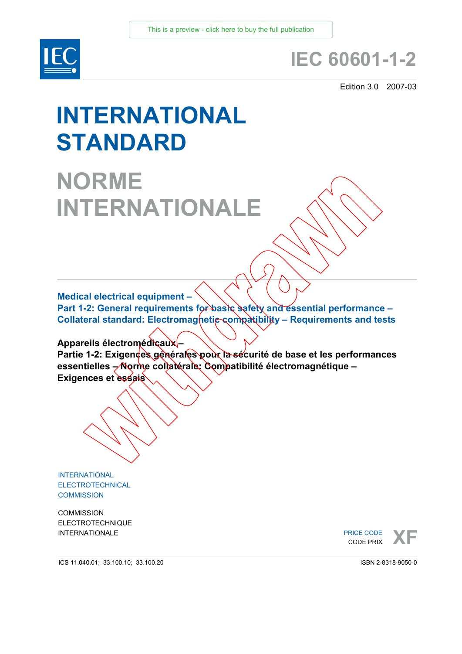

# **IEC 60601-1-2**

Edition 3.0 2007-03

# **INTERNATIONAL STANDARD**

# **NORME INTERNATIONALE**

**Medical electrical equipment –** 

Part 1-2: General requirements for basic safety and essential performance -**Collateral standard: Electromagnetic compatibility - Requirements and tests** 

**Appareils électromédicaux –** 

Partie 1-2: Exigences générales pour la sécurité de base et les performances **essentielles – Norme collatérale: Compatibilité électromagnétique – Exigences et essais** 

INTERNATIONAL ELECTROTECHNICAL **COMMISSION** 

**COMMISSION** ELECTROTECHNIQUE

INTERNATIONALE PRICE CODE **XF**<br> **XF**<br>
CODE PRIX PRICE CODE CODE PRIX

ICS 11.040.01; 33.100.10; 33.100.20

ISBN 2-8318-9050-0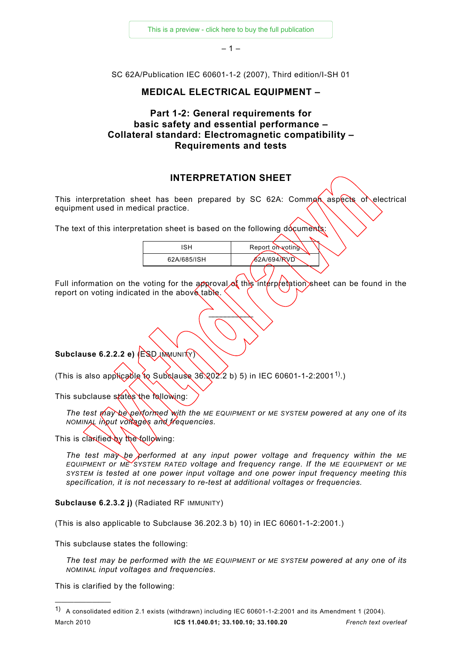[This is a preview - click here to buy the full publication](https://webstore.iec.ch/publication/16786&preview=1)

 $-1-$ 

SC 62A/Publication IEC 60601-1-2 (2007), Third edition/I-SH 01

#### **MEDICAL ELECTRICAL EQUIPMENT –**

# **Part 1-2: General requirements for basic safety and essential performance – Collateral standard: Electromagnetic compatibility – Requirements and tests**

# **INTERPRETATION SHEET**

This interpretation sheet has been prepared by SC 62A: Comman aspects of electrical equipment used in medical practice.

The text of this interpretation sheet is based on the following documents:

| 'SH         | Report on voting |  |
|-------------|------------------|--|
| 62A/685/ISH | 62A/694/RVD      |  |
|             |                  |  |

Full information on the voting for the approval of this interpretation sheet can be found in the report on voting indicated in the above table.

 $\frac{1}{2}$ 

**Subclause 6.2.2.2 e)** (ESD *IMMUNITY*)

(This is also applicable to Subclause 36.202.2 b) 5) in IEC 60601-1-2:2001<sup>[1\)](#page-1-0)</sup>.)

This subclause states the following:

*The test may be performed with the ME EQUIPMENT or ME SYSTEM powered at any one of its NOMINAL input voltages and frequencies.*

This is clarified by the following:

*The test may be performed at any input power voltage and frequency within the ME EQUIPMENT or ME SYSTEM RATED voltage and frequency range. If the ME EQUIPMENT or ME SYSTEM is tested at one power input voltage and one power input frequency meeting this specification, it is not necessary to re-test at additional voltages or frequencies.*

**Subclause 6.2.3.2 j)** (Radiated RF IMMUNITY)

(This is also applicable to Subclause 36.202.3 b) 10) in IEC 60601-1-2:2001.)

This subclause states the following:

*The test may be performed with the ME EQUIPMENT or ME SYSTEM powered at any one of its NOMINAL input voltages and frequencies.*

This is clarified by the following:

—————————

<span id="page-1-0"></span>March 2010 **ICS 11.040.01; 33.100.10; 33.100.20** *French text overleaf* 1) A consolidated edition 2.1 exists (withdrawn) including IEC 60601-1-2:2001 and its Amendment 1 (2004).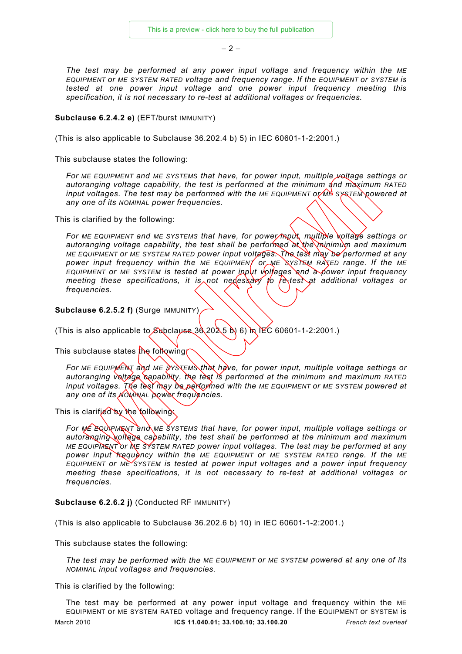$-2-$ 

*The test may be performed at any power input voltage and frequency within the ME EQUIPMENT or ME SYSTEM RATED voltage and frequency range. If the EQUIPMENT or SYSTEM is tested at one power input voltage and one power input frequency meeting this specification, it is not necessary to re-test at additional voltages or frequencies.*

#### **Subclause 6.2.4.2 e)** (EFT/burst IMMUNITY)

(This is also applicable to Subclause 36.202.4 b) 5) in IEC 60601-1-2:2001.)

This subclause states the following:

For ME EQUIPMENT and ME SYSTEMS that have, for power input, multiple *yeltage settings or autoranging voltage capability, the test is performed at the minimum and maximum RATED input voltages. The test may be performed with the ME EQUIPMENT or ME SYSTEM powered at any one of its NOMINAL power frequencies.* 

This is clarified by the following:

*For ME EQUIPMENT and ME SYSTEMS that have, for power input, multiple voltage settings or autoranging voltage capability, the test shall be performed at the minimum and maximum ME EQUIPMENT or ME SYSTEM RATED power input voltages. The test may be performed at any power input frequency within the ME EQUIPMENT or ME SYSTEM RATED range. If the ME EQUIPMENT or ME SYSTEM is tested at power input voltages and a power input frequency meeting these specifications, it is not nedessary to re-test at additional voltages or frequencies.* 

**Subclause 6.2.5.2 f)** (Surge IMMUNITY)

(This is also applicable to Subclause  $30(202.5)$  b) in IEC 60601-1-2:2001.)

This subclause states  $\frac{1}{k}$  following

*For ME EQUIPMENT and ME SYSTEMS that have, for power input, multiple voltage settings or autoranging voltage capability, the test is performed at the minimum and maximum RATED input voltages. The test may be performed with the ME EQUIPMENT or ME SYSTEM powered at any one of its NOMINAL power frequencies.* 

This is clarified by the following:

*For ME EQUIPMENT and ME SYSTEMS that have, for power input, multiple voltage settings or autoranging voltage capability, the test shall be performed at the minimum and maximum ME EQUIPMENT or ME SYSTEM RATED power input voltages. The test may be performed at any power input frequency within the ME EQUIPMENT or ME SYSTEM RATED range. If the ME EQUIPMENT or ME SYSTEM is tested at power input voltages and a power input frequency meeting these specifications, it is not necessary to re-test at additional voltages or frequencies.* 

**Subclause 6.2.6.2 j)** (Conducted RF IMMUNITY)

(This is also applicable to Subclause 36.202.6 b) 10) in IEC 60601-1-2:2001.)

This subclause states the following:

*The test may be performed with the ME EQUIPMENT or ME SYSTEM powered at any one of its NOMINAL input voltages and frequencies.*

This is clarified by the following:

March 2010 **ICS 11.040.01; 33.100.10; 33.100.20** *French text overleaf* The test may be performed at any power input voltage and frequency within the ME EQUIPMENT or ME SYSTEM RATED voltage and frequency range. If the EQUIPMENT or SYSTEM is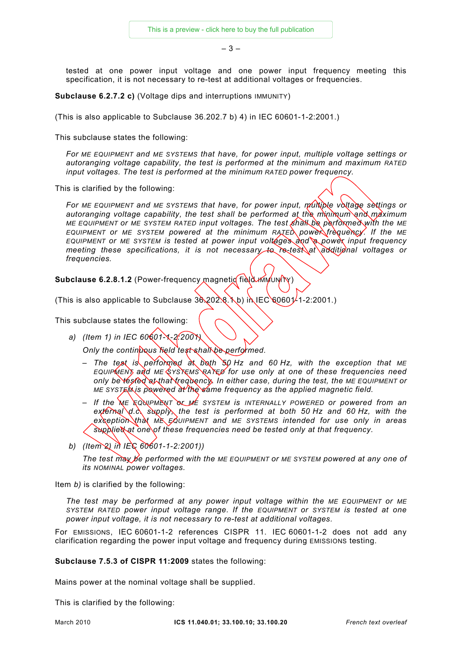– 3 –

tested at one power input voltage and one power input frequency meeting this specification, it is not necessary to re-test at additional voltages or frequencies.

**Subclause 6.2.7.2 c)** (Voltage dips and interruptions IMMUNITY)

(This is also applicable to Subclause 36.202.7 b) 4) in IEC 60601-1-2:2001.)

This subclause states the following:

*For ME EQUIPMENT and ME SYSTEMS that have, for power input, multiple voltage settings or autoranging voltage capability, the test is performed at the minimum and maximum RATED input voltages. The test is performed at the minimum RATED power frequency.* 

This is clarified by the following:

*For ME EQUIPMENT and ME SYSTEMS that have, for power input, multiple voltage settings or autoranging voltage capability, the test shall be performed at the minimum and maximum ME EQUIPMENT or ME SYSTEM RATED input voltages. The test shall be performed with the ME EQUIPMENT or ME SYSTEM powered at the minimum RATED power frequency. If the ME EQUIPMENT or ME SYSTEM is tested at power input voltages and a power input frequency meeting these specifications, it is not necessary to re-test at additional voltages or frequencies.* 

**Subclause 6.2.8.1.2** (Power-frequency magnetic field IMMUNITY)

(This is also applicable to Subclause  $36,202.8.1$  b) in IEC 60601-1-2:2001.)

This subclause states the following:

*a) (Item 1) in IEC 60601-1-2:2001)* 

*Only the continuous field test shall be performed.* 

- *The test is performed at both 50 Hz and 60 Hz, with the exception that ME EQUIPMENT and ME SYSTEMS RATED for use only at one of these frequencies need only be tested at that frequency. In either case, during the test, the ME EQUIPMENT or ME SYSTEM is powered at the same frequency as the applied magnetic field.*
- *If the ME EQUIPMENT or ME SYSTEM is INTERNALLY POWERED or powered from an external d.c. supply, the test is performed at both 50 Hz and 60 Hz, with the exception that ME EQUIPMENT and ME SYSTEMS intended for use only in areas supplied at one of these frequencies need be tested only at that frequency.*
- *b) (Item 2) in IEC 60601-1-2:2001))*

*The test may be performed with the ME EQUIPMENT or ME SYSTEM powered at any one of its NOMINAL power voltages.*

Item *b)* is clarified by the following:

*The test may be performed at any power input voltage within the ME EQUIPMENT or ME SYSTEM RATED power input voltage range. If the EQUIPMENT or SYSTEM is tested at one power input voltage, it is not necessary to re-test at additional voltages.*

For EMISSIONS, IEC 60601-1-2 references CISPR 11. IEC 60601-1-2 does not add any clarification regarding the power input voltage and frequency during EMISSIONS testing.

**Subclause 7.5.3 of CISPR 11:2009** states the following:

Mains power at the nominal voltage shall be supplied.

This is clarified by the following: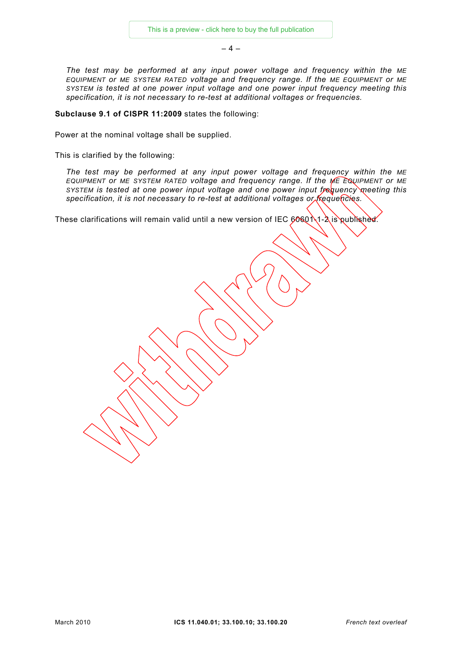$-4-$ 

*The test may be performed at any input power voltage and frequency within the ME EQUIPMENT or ME SYSTEM RATED voltage and frequency range. If the ME EQUIPMENT or ME SYSTEM is tested at one power input voltage and one power input frequency meeting this specification, it is not necessary to re-test at additional voltages or frequencies.*

**Subclause 9.1 of CISPR 11:2009** states the following:

Power at the nominal voltage shall be supplied.

This is clarified by the following:

*The test may be performed at any input power voltage and frequency within the ME EQUIPMENT or ME SYSTEM RATED voltage and frequency range. If the ME EQUIPMENT or ME SYSTEM is tested at one power input voltage and one power input frequency meeting this specification, it is not necessary to re-test at additional voltages or frequencies.*

These clarifications will remain valid until a new version of IEC  $6060 \lambda$ 1-2 is published.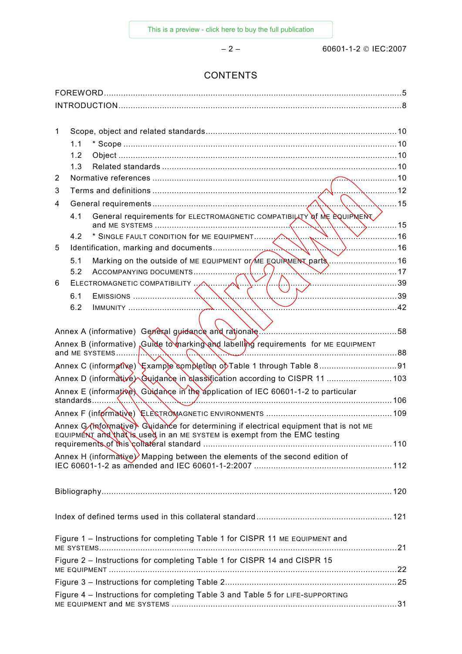# **CONTENTS**

| 1 |     |                                                                                                                                                                    |      |
|---|-----|--------------------------------------------------------------------------------------------------------------------------------------------------------------------|------|
|   | 1.1 |                                                                                                                                                                    |      |
|   | 1.2 |                                                                                                                                                                    |      |
|   | 1.3 |                                                                                                                                                                    |      |
| 2 |     |                                                                                                                                                                    |      |
| 3 |     |                                                                                                                                                                    |      |
| 4 |     | <u>.</u> 15                                                                                                                                                        |      |
|   | 4.1 | General requirements for ELECTROMAGNETIC COMPATIBILATY of ME EQUIPMENT                                                                                             | . 15 |
|   | 4.2 |                                                                                                                                                                    |      |
| 5 |     |                                                                                                                                                                    |      |
|   | 5.1 | Marking on the outside of ME EQUIPMENT OF ME EQUIPMENT parts 16                                                                                                    |      |
|   | 5.2 | $\sqrt{17}$                                                                                                                                                        |      |
| 6 |     |                                                                                                                                                                    |      |
|   | 6.1 | $\sqrt{39}$                                                                                                                                                        |      |
|   | 6.2 | $\sim$ 42                                                                                                                                                          |      |
|   |     |                                                                                                                                                                    |      |
|   |     |                                                                                                                                                                    |      |
|   |     | Annex B (informative) Guide to marking and labelling requirements for ME EQUIPMENT                                                                                 |      |
|   |     |                                                                                                                                                                    |      |
|   |     | Annex D (informative) Guidance in classification according to CISPR 11  103                                                                                        |      |
|   |     | Annex E (informative) Guidance in the application of IEC 60601-1-2 to particular                                                                                   |      |
|   |     | standards                                                                                                                                                          |      |
|   |     |                                                                                                                                                                    |      |
|   |     | Annex G (informative) Guidance for determining if electrical equipment that is not ME<br>EQUIPMENT and that is used in an ME SYSTEM is exempt from the EMC testing |      |
|   |     |                                                                                                                                                                    |      |
|   |     | Annex H (informative) Mapping between the elements of the second edition of                                                                                        |      |
|   |     |                                                                                                                                                                    |      |
|   |     |                                                                                                                                                                    |      |
|   |     |                                                                                                                                                                    |      |
|   |     | Figure 1 - Instructions for completing Table 1 for CISPR 11 ME EQUIPMENT and                                                                                       |      |
|   |     | Figure 2 - Instructions for completing Table 1 for CISPR 14 and CISPR 15                                                                                           |      |
|   |     |                                                                                                                                                                    |      |
|   |     | Figure 4 - Instructions for completing Table 3 and Table 5 for LIFE-SUPPORTING                                                                                     |      |
|   |     |                                                                                                                                                                    |      |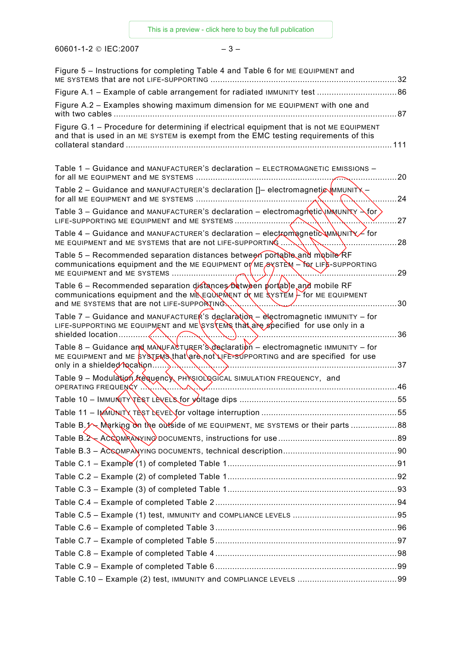60601-1-2 © IEC:2007 – 3 –

| Figure 5 - Instructions for completing Table 4 and Table 6 for ME EQUIPMENT and<br>ME SYSTEMS that are not LIFE-SUPPORTING                                                                                                                       | 32  |
|--------------------------------------------------------------------------------------------------------------------------------------------------------------------------------------------------------------------------------------------------|-----|
| Figure A.1 - Example of cable arrangement for radiated IMMUNITY test  86                                                                                                                                                                         |     |
| Figure A.2 - Examples showing maximum dimension for ME EQUIPMENT with one and<br>with two cables                                                                                                                                                 | 87  |
| Figure G.1 - Procedure for determining if electrical equipment that is not ME EQUIPMENT<br>and that is used in an ME SYSTEM is exempt from the EMC testing requirements of this                                                                  | 111 |
| Table 1 - Guidance and MANUFACTURER'S declaration - ELECTROMAGNETIC EMISSIONS -                                                                                                                                                                  | 20  |
| Table 2 - Guidance and MANUFACTURER'S declaration []- electromagnetig MMUNITY -<br>for all ME EQUIPMENT and ME SYSTEMS                                                                                                                           | 24  |
| Table 3 – Guidance and MANUFACTURER's declaration – electromagnetic $\binom{M}{M}$ unity $\geq$ for<br>LIFE-SUPPORTING ME EQUIPMENT and ME SYSTEMS                                                                                               | 27  |
| Table 4 – Guidance and MANUFACTURER's declaration – electromagnetic winning $\leq$ for<br>ME EQUIPMENT and ME SYSTEMS that are not LIFE-SUPPORTING                                                                                               | 28  |
| Table 5 – Recommended separation distances between portable and mobile RF<br>communications equipment and the ME EQUIPMENT or $M = 8$ STEM $-$ For LIFE-SUPPORTING<br>ME EQUIPMENT and ME SYSTEMS                                                | 29  |
| Table 6 - Recommended separation distances between portable and mobile RF<br>communications equipment and the $M \geq C$ $\frac{1}{C}$ $\frac{1}{C}$ $\frac{1}{C}$ $\frac{1}{C}$ for ME EQUIPMENT<br>and ME SYSTEMS that are not LIFE-SUPPORTING | 30  |
| Table 7 – Guidance and MANUFACTURER's declaration – electromagnetic IMMUNITY – for<br>LIFE-SUPPORTING ME EQUIPMENT and ME SYSTEMS that are specified for use only in a<br>shielded location                                                      | 36  |
| Table 8 – Guidance and MANUFACTURER'S declaration – electromagnetic IMMUNITY – for<br>ME EQUIPMENT and ME SYSTEMS that are not LIFE-SUPPORTING and are specified for use<br>only in a shielded becation                                          | 37  |
| Table 9 - Modulation <i>frequency</i> PHYSIOL QGICAL SIMULATION FREQUENCY, and<br>OPERATING FREQUENCY                                                                                                                                            | 46  |
|                                                                                                                                                                                                                                                  |     |
|                                                                                                                                                                                                                                                  |     |
| Table B.1 Marking on the outside of ME EQUIPMENT, ME SYSTEMS or their parts 88                                                                                                                                                                   |     |
|                                                                                                                                                                                                                                                  |     |
|                                                                                                                                                                                                                                                  |     |
|                                                                                                                                                                                                                                                  |     |
|                                                                                                                                                                                                                                                  |     |
|                                                                                                                                                                                                                                                  |     |
|                                                                                                                                                                                                                                                  |     |
|                                                                                                                                                                                                                                                  |     |
|                                                                                                                                                                                                                                                  |     |
|                                                                                                                                                                                                                                                  |     |
|                                                                                                                                                                                                                                                  |     |
|                                                                                                                                                                                                                                                  |     |
|                                                                                                                                                                                                                                                  |     |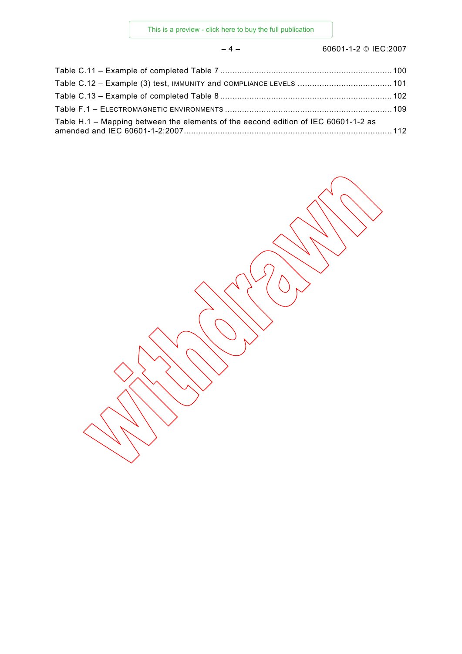– 4 – 60601-1-2 © IEC:2007

| Table H.1 – Mapping between the elements of the eecond edition of IEC 60601-1-2 as |  |
|------------------------------------------------------------------------------------|--|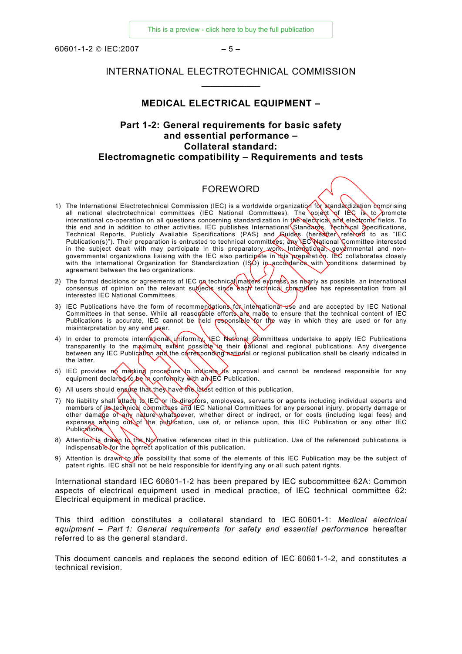<span id="page-8-0"></span> $60601 - 1 - 2 \odot 1 \text{ F}C \cdot 2007$  – 5

#### INTERNATIONAL ELECTROTECHNICAL COMMISSION  $\frac{1}{2}$  ,  $\frac{1}{2}$  ,  $\frac{1}{2}$  ,  $\frac{1}{2}$  ,  $\frac{1}{2}$  ,  $\frac{1}{2}$  ,  $\frac{1}{2}$

#### **MEDICAL ELECTRICAL EQUIPMENT –**

# **Part 1-2: General requirements for basic safety and essential performance – Collateral standard: Electromagnetic compatibility – Requirements and tests**

# FOREWORD

- 1) The International Electrotechnical Commission (IEC) is a worldwide organization for standardization comprising all national electrotechnical committees (IEC National Committees). The object of IEC is to promote international co-operation on all questions concerning standardization in the electrical and electronic fields. To this end and in addition to other activities, IEC publishes International Standards, Technical Specifications, Technical Reports, Publicly Available Specifications (PAS) and Guides (hereatter referred to as "IEC Publication(s)"). Their preparation is entrusted to technical committees; any IEC National Committee interested in the subject dealt with may participate in this preparatory work. International, governmental and nongovernmental organizations liaising with the IEC also participate in this preparation. IEC collaborates closely with the International Organization for Standardization (ISO) in accordance with conditions determined by agreement between the two organizations.
- 2) The formal decisions or agreements of IEC on technical  $(m\text{at} \text{er} \text{s})$  as nearly as possible, an international consensus of opinion on the relevant subjects since each technical committee has representation from all interested IEC National Committees.
- 3) IEC Publications have the form of recommendations for international use and are accepted by IEC National Committees in that sense. While all reasonable efforts are made to ensure that the technical content of IEC Publications is accurate, IEC cannot be held responsible for the way in which they are used or for any misinterpretation by any end  $\mu$ ser.
- 4) In order to promote international uniformity, LEC National Committees undertake to apply IEC Publications transparently to the maximum extent possible in their national and regional publications. Any divergence between any IEC Publication and the corresponding national or regional publication shall be clearly indicated in the latter.
- 5) IEC provides no marking procedure to indicate its approval and cannot be rendered responsible for any equipment declared to be in conformity with an IEC Publication.
- 6) All users should ensure that they have the latest edition of this publication.
- 7) No liability shall attach to IEC or its directors, employees, servants or agents including individual experts and members of its technical committees and IEC National Committees for any personal injury, property damage or other damage of any nature whatsoever, whether direct or indirect, or for costs (including legal fees) and expenses ansing out of the publication, use of, or reliance upon, this IEC Publication or any other IEC Publications.
- 8) Attention is drawn to the Normative references cited in this publication. Use of the referenced publications is indispensable for the correct application of this publication.
- 9) Attention is drawn to the possibility that some of the elements of this IEC Publication may be the subject of patent rights. IEC shall not be held responsible for identifying any or all such patent rights.

International standard IEC 60601-1-2 has been prepared by IEC subcommittee 62A: Common aspects of electrical equipment used in medical practice, of IEC technical committee 62: Electrical equipment in medical practice.

This third edition constitutes a collateral standard to IEC 60601-1: *Medical electrical equipment – Part 1: General requirements for safety and essential performance* hereafter referred to as the general standard.

This document cancels and replaces the second edition of IEC 60601-1-2, and constitutes a technical revision.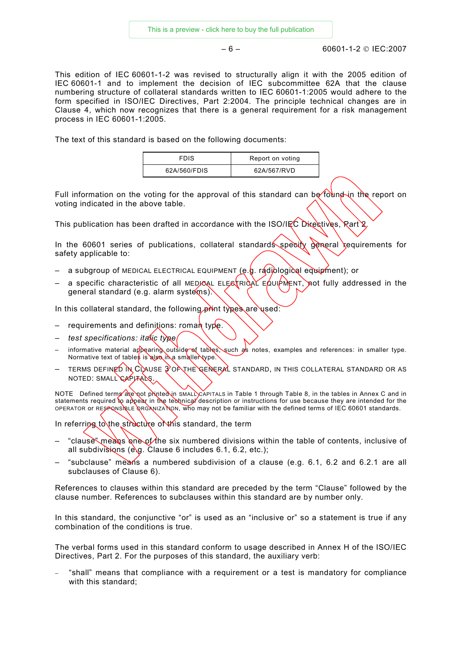$-6 - 6$ 

This edition of IEC 60601-1-2 was revised to structurally align it with the 2005 edition of IEC 60601-1 and to implement the decision of IEC subcommittee 62A that the clause numbering structure of collateral standards written to IEC 60601-1:2005 would adhere to the form specified in ISO/IEC Directives, Part 2:2004. The principle technical changes are in Clause 4, which now recognizes that there is a general requirement for a risk management process in IEC 60601-1:2005.

The text of this standard is based on the following documents:

| <b>FDIS</b>  | Report on voting |
|--------------|------------------|
| 62A/560/FDIS | 62A/567/RVD      |

Full information on the voting for the approval of this standard can be found in the report on voting indicated in the above table.

This publication has been drafted in accordance with the ISO/IEC Directives, Rart 2.

In the 60601 series of publications, collateral standard specify general requirements for safety applicable to:

- a subgroup of MEDICAL ELECTRICAL EQUIPMENT (e.g. radiological equipment); or
- a specific characteristic of all MEDICAL ELECTRICAL EQUIPMENT, not fully addressed in the general standard (e.g. alarm systems).

In this collateral standard, the following print types are used:

- requirements and definitions: roman type.
- *test specifications: italic type.*
- informative material appearing outside of tables, such as notes, examples and references: in smaller type. Normative text of tables is also in a smaller type.
- TERMS DEFINED IN CLAUSE 3 OF THE GENERAL STANDARD, IN THIS COLLATERAL STANDARD OR AS NOTED: SMALL CAPITALS.

NOTE Defined terms are not printed in SMALL CAPITALS in Table 1 through Table 8, in the tables in Annex C and in statements required to appear in the technical description or instructions for use because they are intended for the OPERATOR or RESPONSIBLE ORGANIZATION, who may not be familiar with the defined terms of IEC 60601 standards.

In referring to the structure of this standard, the term

- "clause" means one of the six numbered divisions within the table of contents, inclusive of all subdivisions (e.g. Clause 6 includes 6.1, 6.2, etc.);
- "subclause" means a numbered subdivision of a clause (e.g. 6.1, 6.2 and 6.2.1 are all subclauses of Clause 6).

References to clauses within this standard are preceded by the term "Clause" followed by the clause number. References to subclauses within this standard are by number only.

In this standard, the conjunctive "or" is used as an "inclusive or" so a statement is true if any combination of the conditions is true.

The verbal forms used in this standard conform to usage described in Annex H of the ISO/IEC Directives, Part 2. For the purposes of this standard, the auxiliary verb:

− "shall" means that compliance with a requirement or a test is mandatory for compliance with this standard;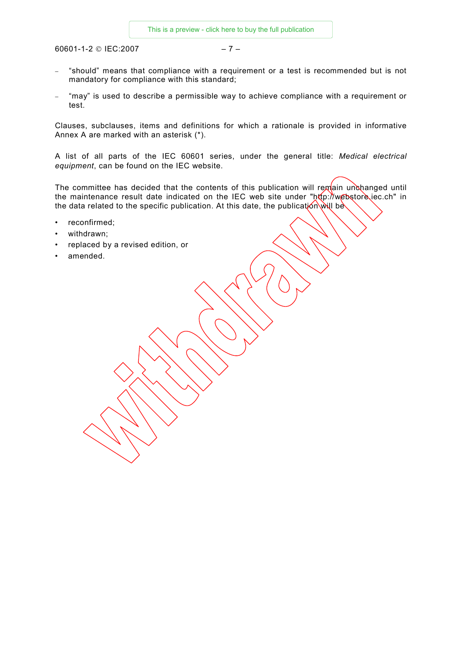$60601 - 1 - 2 \odot 1EC: 2007$  – 7 –

- − "should" means that compliance with a requirement or a test is recommended but is not mandatory for compliance with this standard;
- − "may" is used to describe a permissible way to achieve compliance with a requirement or test.

Clauses, subclauses, items and definitions for which a rationale is provided in informative Annex A are marked with an asterisk (\*).

A list of all parts of the IEC 60601 series, under the general title: *Medical electrical equipment*, can be found on the IEC website.

The committee has decided that the contents of this publication will remain unchanged until the maintenance result date indicated on the IEC web site under "http://webstore.iec.ch" in the data related to the specific publication. At this date, the publication will be

- reconfirmed;
- withdrawn;
- replaced by a revised edition, or
- amended.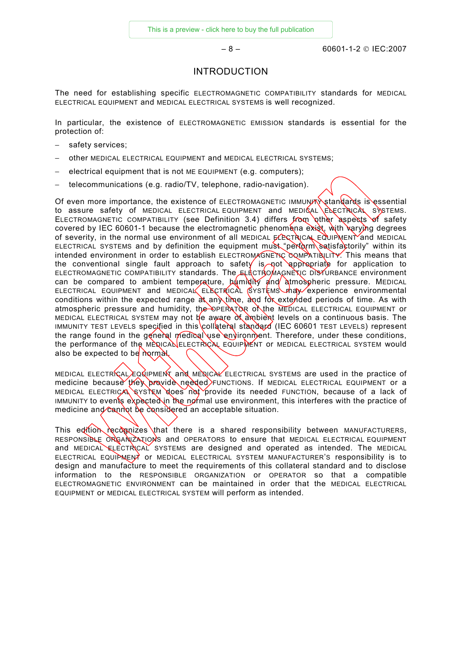– 8 – 60601-1-2 © IEC:2007

#### INTRODUCTION

<span id="page-11-0"></span>The need for establishing specific ELECTROMAGNETIC COMPATIBILITY standards for MEDICAL ELECTRICAL EQUIPMENT and MEDICAL ELECTRICAL SYSTEMS is well recognized.

In particular, the existence of ELECTROMAGNETIC EMISSION standards is essential for the protection of:

- − safety services;
- − other MEDICAL ELECTRICAL EQUIPMENT and MEDICAL ELECTRICAL SYSTEMS;
- − electrical equipment that is not ME EQUIPMENT (e.g. computers);
- − telecommunications (e.g. radio/TV, telephone, radio-navigation).

Of even more importance, the existence of ELECTROMAGNETIC IMMUNITY standards is essential to assure safety of MEDICAL ELECTRICAL EQUIPMENT and MEDICAL ELECTRICAL SYSTEMS. ELECTROMAGNETIC COMPATIBILITY (see Definition 3.4) differs  $from$  other aspects of safety covered by IEC 60601-1 because the electromagnetic phenomena exist, with varying degrees of severity, in the normal use environment of all MEDICAL  $ECECIRICAK EQUIPMENT$  and MEDICAL ELECTRICAL SYSTEMS and by definition the equipment must "perform satisfactorily" within its intended environment in order to establish ELECTROMAGNETIC COMPATIBILITY. This means that the conventional single fault approach to safety is not appropriate for application to ELECTROMAGNETIC COMPATIBILITY standards. The ELECTROMAGNETIC DISTURBANCE environment can be compared to ambient temperature,  $h\psi$  midity and atmospheric pressure. MEDICAL ELECTRICAL EQUIPMENT and MEDICAL ELECTRICAL SYSTEMS may experience environmental conditions within the expected range  $\partial t$  any time,  $\partial u$  for extended periods of time. As with atmospheric pressure and humidity, the OPERATOR of the MEDICAL ELECTRICAL EQUIPMENT or MEDICAL ELECTRICAL SYSTEM may not be aware of ambient levels on a continuous basis. The IMMUNITY TEST LEVELS specified in this collateral standard (IEC 60601 TEST LEVELS) represent the range found in the general medical use environment. Therefore, under these conditions, the performance of the MEDICAL ELECTRICAL EQUIPMENT or MEDICAL ELECTRICAL SYSTEM would also be expected to be normal.

MEDICAL ELECTRICAL EQUIPMENT and MEDICAL ELECTRICAL SYSTEMS are used in the practice of medicine because they provide needed FUNCTIONS. If MEDICAL ELECTRICAL EQUIPMENT or a MEDICAL ELECTRICAL SYSTEM does not provide its needed FUNCTION, because of a lack of IMMUNITY to events expected in the normal use environment, this interferes with the practice of medicine and cannot be considered an acceptable situation.

This edition recognizes that there is a shared responsibility between MANUFACTURERS. RESPONSIBLE ORGANIZATIONS and OPERATORS to ensure that MEDICAL ELECTRICAL EQUIPMENT and MEDICAL ELECTRICAL SYSTEMS are designed and operated as intended. The MEDICAL ELECTRICAL EQUIPMENT OF MEDICAL ELECTRICAL SYSTEM MANUFACTURER'S responsibility is to design and manufacture to meet the requirements of this collateral standard and to disclose information to the RESPONSIBLE ORGANIZATION or OPERATOR so that a compatible ELECTROMAGNETIC ENVIRONMENT can be maintained in order that the MEDICAL ELECTRICAL EQUIPMENT or MEDICAL ELECTRICAL SYSTEM will perform as intended.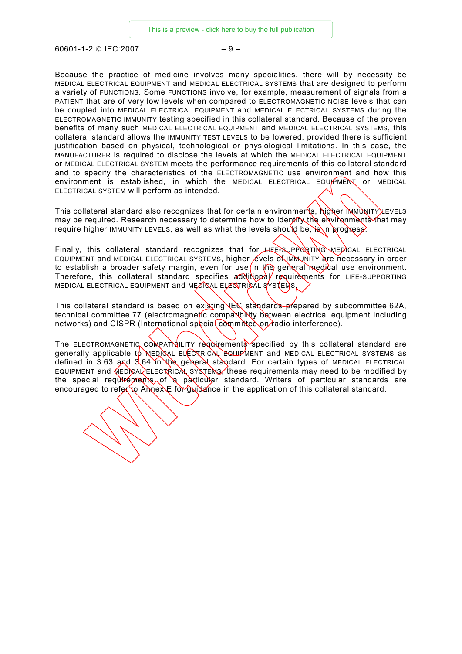$60601 - 1 - 2 \odot 1 \text{ F}C \cdot 2007$  – 9 –

Because the practice of medicine involves many specialities, there will by necessity be MEDICAL ELECTRICAL EQUIPMENT and MEDICAL ELECTRICAL SYSTEMS that are designed to perform a variety of FUNCTIONS. Some FUNCTIONS involve, for example, measurement of signals from a PATIENT that are of very low levels when compared to ELECTROMAGNETIC NOISE levels that can be coupled into MEDICAL ELECTRICAL EQUIPMENT and MEDICAL ELECTRICAL SYSTEMS during the ELECTROMAGNETIC IMMUNITY testing specified in this collateral standard. Because of the proven benefits of many such MEDICAL ELECTRICAL EQUIPMENT and MEDICAL ELECTRICAL SYSTEMS, this collateral standard allows the IMMUNITY TEST LEVELS to be lowered, provided there is sufficient justification based on physical, technological or physiological limitations. In this case, the MANUFACTURER is required to disclose the levels at which the MEDICAL ELECTRICAL EQUIPMENT or MEDICAL ELECTRICAL SYSTEM meets the performance requirements of this collateral standard and to specify the characteristics of the ELECTROMAGNETIC use environment and how this environment is established, in which the MEDICAL ELECTRICAL EQUIPMENT or MEDICAL ELECTRICAL SYSTEM will perform as intended.

This collateral standard also recognizes that for certain environments, higher IMMUNITY LEVELS may be required. Research necessary to determine how to identify the environments that may require higher IMMUNITY LEVELS, as well as what the levels should be,  $\frac{\partial \phi}{\partial n}$  progress.

Finally, this collateral standard recognizes that for  $HEE-SUPPOQATING-MEDCAL$  ELECTRICAL EQUIPMENT and MEDICAL ELECTRICAL SYSTEMS, higher levels OLIMMUNITY are necessary in order to establish a broader safety margin, even for use in the general medical use environment. Therefore, this collateral standard specifies  $\alpha d\alpha$  requirements for LIFE-SUPPORTING MEDICAL ELECTRICAL EQUIPMENT and MEDICAL ELECTRICAL SYSTEMS.

This collateral standard is based on existing IEC standards prepared by subcommittee 62A, technical committee 77 (electromagnetic compatibility between electrical equipment including networks) and CISPR (International special committee on radio interference).

The ELECTROMAGNETIC COMPATIBILITY requirements specified by this collateral standard are generally applicable to MEDICAL ELECTRICAL EQUIPMENT and MEDICAL ELECTRICAL SYSTEMS as defined in 3.63 and 3.64 in the general standard. For certain types of MEDICAL ELECTRICAL EQUIPMENT and  $\sqrt{\text{ED}}$  CAL ELECTRICAL SYSTEMS, these requirements may need to be modified by the special requirements of a particular standard. Writers of particular standards are encouraged to refer to Annex E for guidance in the application of this collateral standard.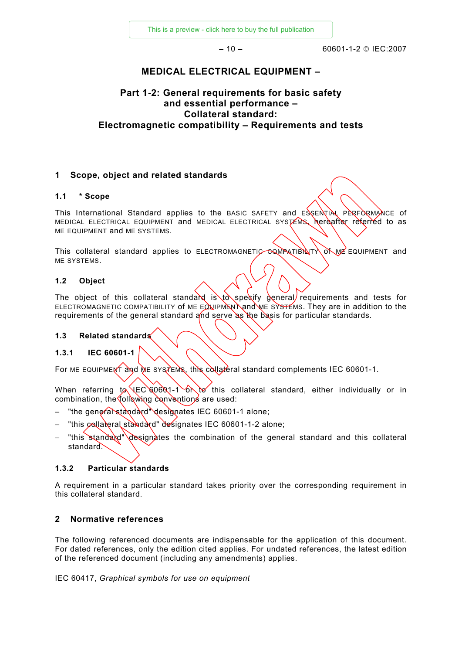[This is a preview - click here to buy the full publication](https://webstore.iec.ch/publication/16786&preview=1)

– 10 – 60601-1-2 © IEC:2007

# **MEDICAL ELECTRICAL EQUIPMENT –**

# <span id="page-13-0"></span>**Part 1-2: General requirements for basic safety and essential performance – Collateral standard: Electromagnetic compatibility – Requirements and tests**

## **1 Scope, object and related standards**

#### **1.1 \* Scope**

This International Standard applies to the BASIC SAFETY and ESSENTIAL PERFORMANCE of MEDICAL ELECTRICAL EQUIPMENT and MEDICAL ELECTRICAL SYSTEMS, hereafter referred to as ME EQUIPMENT and ME SYSTEMS.

This collateral standard applies to ELECTROMAGNETIC COMPATIBILITY of ME EQUIPMENT and ME SYSTEMS.

#### **1.2 Object**

The object of this collateral standard is to specify general requirements and tests for ELECTROMAGNETIC COMPATIBILITY of ME EQUIPMENT and ME SYSTEMS. They are in addition to the requirements of the general standard and serve as the basis for particular standards.

#### **1.3 Related standards**

#### **1.3.1 IEC 60601-1**

For ME EQUIPMENT and ME SYSTEMS, this collateral standard complements IEC 60601-1.

When referring  $\sqrt{EC}$  60601-1 on to this collateral standard, either individually or in combination, the following conventions are used:

- "the general standard" designates IEC 60601-1 alone;
- "this collateral standard" designates IEC 60601-1-2 alone;
- "this standard" designates the combination of the general standard and this collateral standard.

#### **1.3.2 Particular standards**

A requirement in a particular standard takes priority over the corresponding requirement in this collateral standard.

#### **2 Normative references**

The following referenced documents are indispensable for the application of this document. For dated references, only the edition cited applies. For undated references, the latest edition of the referenced document (including any amendments) applies.

IEC 60417, *Graphical symbols for use on equipment*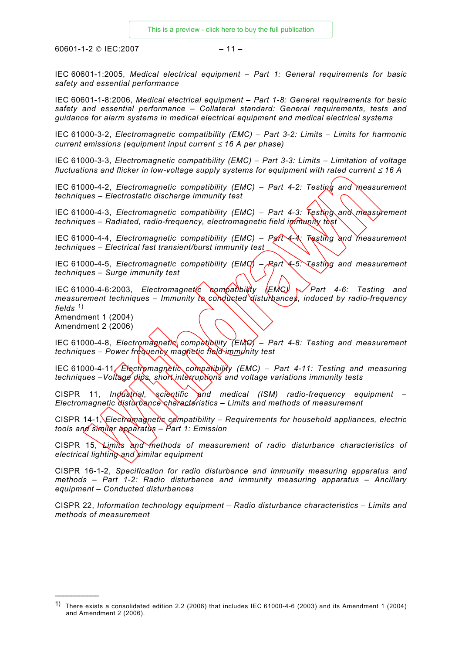$60601 - 1 - 2 \odot 1 \text{ F} \text{C}$ ; 2007

IEC 60601-1:2005, *Medical electrical equipment – Part 1: General requirements for basic safety and essential performance* 

IEC 60601-1-8:2006, *Medical electrical equipment – Part 1-8: General requirements for basic safety and essential performance – Collateral standard: General requirements, tests and guidance for alarm systems in medical electrical equipment and medical electrical systems* 

IEC 61000-3-2, *Electromagnetic compatibility (EMC) – Part 3-2: Limits – Limits for harmonic current emissions (equipment input current* ≤ *16 A per phase)*

IEC 61000-3-3, *Electromagnetic compatibility (EMC) – Part 3-3: Limits – Limitation of voltage fluctuations and flicker in low-voltage supply systems for equipment with rated current ≤ 16 A* 

IEC 61000-4-2, *Electromagnetic compatibility (EMC) – Part 4-2: Testing and measurement techniques – Electrostatic discharge immunity test* 

IEC 61000-4-3, *Electromagnetic compatibility (EMC) – Part 4-3: Testing and measurement techniques – Radiated, radio-frequency, electromagnetic field immunity test*

IEC 61000-4-4, *Electromagnetic compatibility (EMC) – Part 4-4: Testing and measurement techniques – Electrical fast transient/burst immunity test* 

IEC 61000-4-5, *Electromagnetic compatibility (EMC) – Part 4-5: Testing and measurement techniques – Surge immunity test* 

IEC 61000-4-6:2003, *Electromagnetic compatibility (EMC) – Part 4-6: Testing and measurement techniques – Immunity to conducted disturbances, induced by radio-frequency fields* [1\)](#page-14-0)

Amendment 1 (2004) Amendment 2 (2006)

 $\frac{1}{2}$ 

IEC 61000-4-8, *Electromagnetic compatibility (EMC) – Part 4-8: Testing and measurement techniques – Power frequency magnetic field immunity test* 

IEC 61000-4-11, *Electromagnetic compatibility (EMC) – Part 4-11: Testing and measuring techniques –Voltage dips, short interruptions and voltage variations immunity tests*

CISPR 11, *Industrial, scientific and medical (ISM) radio-frequency equipment – Electromagnetic disturbance characteristics – Limits and methods of measurement*

CISPR 14-1, *Electromagnetic compatibility – Requirements for household appliances, electric tools and similar apparatus – Part 1: Emission*

CISPR 15, *Limits and methods of measurement of radio disturbance characteristics of electrical lighting and similar equipment* 

CISPR 16-1-2, *Specification for radio disturbance and immunity measuring apparatus and methods – Part 1-2: Radio disturbance and immunity measuring apparatus* – *Ancillary equipment – Conducted disturbances*

CISPR 22, *Information technology equipment – Radio disturbance characteristics – Limits and methods of measurement*

<span id="page-14-0"></span><sup>1)</sup> There exists a consolidated edition 2.2 (2006) that includes IEC 61000-4-6 (2003) and its Amendment 1 (2004) and Amendment 2 (2006).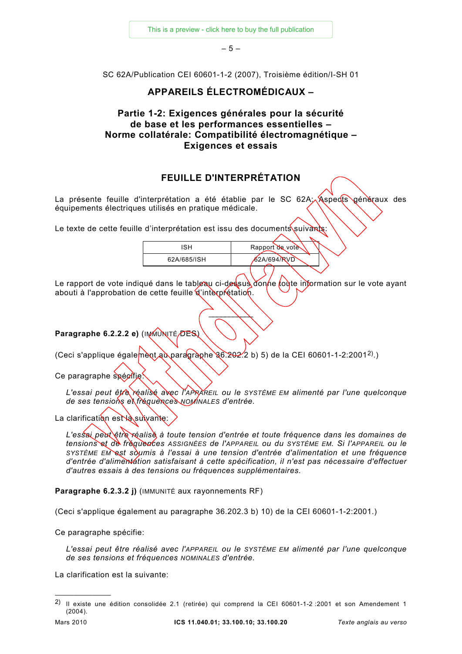[This is a preview - click here to buy the full publication](https://webstore.iec.ch/publication/16786&preview=1)

– 5 –

SC 62A/Publication CEI 60601-1-2 (2007), Troisième édition/I-SH 01

## **APPAREILS ÉLECTROMÉDICAUX –**

# **Partie 1-2: Exigences générales pour la sécurité de base et les performances essentielles – Norme collatérale: Compatibilité électromagnétique – Exigences et essais**

# **FEUILLE D'INTERPRÉTATION**

La présente feuille d'interprétation a été établie par le SC 62A; Aspects généraux des équipements électriques utilisés en pratique médicale.

Le texte de cette feuille d'interprétation est issu des documents suivants:

| SН          | Rapport de vote |
|-------------|-----------------|
| 62A/685/ISH | 62A/694/RVD     |
|             |                 |

Le rapport de vote indiqué dans le tableau ci-des sub donne toute information sur le vote ayant abouti à l'approbation de cette feuille d'interprétation.

 $\frac{1}{2}$ 

**Paragraphe 6.2.2.2 e)** (IMMUNITÉ/DES)

(Ceci s'applique également au paragraphe 36.[2](#page-15-0)02.2 b) 5) de la CEI 60601-1-2:2001<sup>2</sup>.)

Ce paragraphe spécifie

*L'essai peut être réalisé avec l'APPAREIL ou le SYSTÈME EM alimenté par l'une quelconque de ses tensions et fréquences NOMINALES d'entrée.*

La clarification est loss univante:

*L'essai peut être réalisé à toute tension d'entrée et toute fréquence dans les domaines de tensions et de fréquences ASSIGNÉES de l'APPAREIL ou du SYSTÈME EM. Si l'APPAREIL ou le SYSTÈME EM est soumis à l'essai à une tension d'entrée d'alimentation et une fréquence d'entrée d'alimentation satisfaisant à cette spécification, il n'est pas nécessaire d'effectuer d'autres essais à des tensions ou fréquences supplémentaires.* 

**Paragraphe 6.2.3.2 j)** (IMMUNITÉ aux rayonnements RF)

(Ceci s'applique également au paragraphe 36.202.3 b) 10) de la CEI 60601-1-2:2001.)

Ce paragraphe spécifie:

*L'essai peut être réalisé avec l'APPAREIL ou le SYSTÈME EM alimenté par l'une quelconque de ses tensions et fréquences NOMINALES d'entrée.* 

La clarification est la suivante:

—————————

<span id="page-15-0"></span><sup>2)</sup> Il existe une édition consolidée 2.1 (retirée) qui comprend la CEI 60601-1-2 :2001 et son Amendement 1 (2004).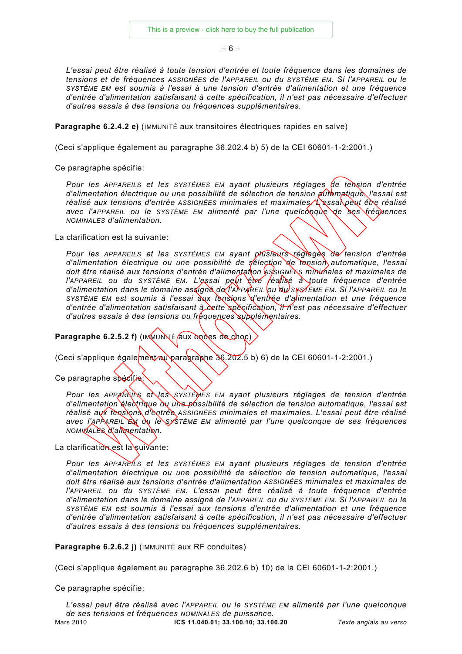– 6 –

*L'essai peut être réalisé à toute tension d'entrée et toute fréquence dans les domaines de tensions et de fréquences ASSIGNÉES de l'APPAREIL ou du SYSTÈME EM. Si l'APPAREIL ou le SYSTÈME EM est soumis à l'essai à une tension d'entrée d'alimentation et une fréquence d'entrée d'alimentation satisfaisant à cette spécification, il n'est pas nécessaire d'effectuer d'autres essais à des tensions ou fréquences supplémentaires.*

**Paragraphe 6.2.4.2 e)** (IMMUNITÉ aux transitoires électriques rapides en salve)

(Ceci s'applique également au paragraphe 36.202.4 b) 5) de la CEI 60601-1-2:2001.)

Ce paragraphe spécifie:

*Pour les APPAREILS et les SYSTÈMES EM ayant plusieurs réglages de tension d'entrée d'alimentation électrique ou une possibilité de sélection de tension automatique, l'essai est réalisé aux tensions d'entrée ASSIGNÉES minimales et maximales. L'essai peut être réalisé avec l'APPAREIL ou le SYSTÈME EM alimenté par l'une quelconque de ses fréquences NOMINALES d'alimentation.* 

La clarification est la suivante:

*Pour les APPAREILS et les SYSTÈMES EM ayant plusieurs réglages de tension d'entrée d'alimentation électrique ou une possibilité de sélection de tension automatique, l'essai doit être réalisé aux tensions d'entrée d'alimentation ASSIGNÉES minimales et maximales de l'APPAREIL ou du SYSTÈME EM. L'essai peut être féalisé à toute fréquence d'entrée d'alimentation dans le domaine assigné de l'APPAREIL ou du SYSTÈME EM. Si l'APPAREIL ou le SYSTÈME EM est soumis à l'essai aux tensions d'entrée d'alimentation et une fréquence d'entrée d'alimentation satisfaisant à cette spécification, il n'est pas nécessaire d'effectuer d'autres essais à des tensions ou fréquences supplémentaires.*

**Paragraphe 6.2.5.2 f)** (IMMUNNE aux ondes de choc)

(Ceci s'applique également au paragraphe 36.202.5 b) 6) de la CEI 60601-1-2:2001.)

Ce paragraphe spécifie

*Pour les APPAREILS et les SYSTÈMES EM ayant plusieurs réglages de tension d'entrée d'alimentation électrique ou une possibilité de sélection de tension automatique, l'essai est réalisé aux tensions d'entrée ASSIGNÉES minimales et maximales. L'essai peut être réalisé avec l'APPAREIL EM ou le SYSTÈME EM alimenté par l'une quelconque de ses fréquences NOMINALES d'alimentation.* 

La clarification est la suivante:

*Pour les APPAREILS et les SYSTÈMES EM ayant plusieurs réglages de tension d'entrée d'alimentation électrique ou une possibilité de sélection de tension automatique, l'essai doit être réalisé aux tensions d'entrée d'alimentation ASSIGNÉES minimales et maximales de l'APPAREIL ou du SYSTÈME EM. L'essai peut être réalisé à toute fréquence d'entrée d'alimentation dans le domaine assigné de l'APPAREIL ou du SYSTÈME EM. Si l'APPAREIL ou le SYSTÈME EM est soumis à l'essai aux tensions d'entrée d'alimentation et une fréquence d'entrée d'alimentation satisfaisant à cette spécification, il n'est pas nécessaire d'effectuer d'autres essais à des tensions ou fréquences supplémentaires.* 

**Paragraphe 6.2.6.2 j)** (IMMUNITÉ aux RF conduites)

(Ceci s'applique également au paragraphe 36.202.6 b) 10) de la CEI 60601-1-2:2001.)

Ce paragraphe spécifie: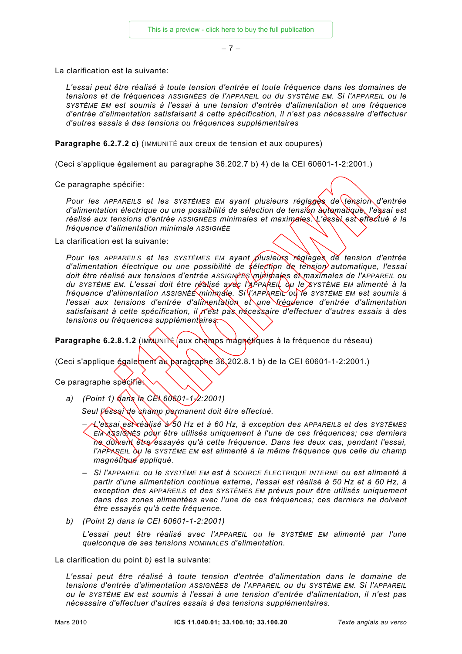– 7 –

La clarification est la suivante:

*L'essai peut être réalisé à toute tension d'entrée et toute fréquence dans les domaines de tensions et de fréquences ASSIGNÉES de l'APPAREIL ou du SYSTÈME EM. Si l'APPAREIL ou le SYSTÈME EM est soumis à l'essai à une tension d'entrée d'alimentation et une fréquence d'entrée d'alimentation satisfaisant à cette spécification, il n'est pas nécessaire d'effectuer d'autres essais à des tensions ou fréquences supplémentaires*

**Paragraphe 6.2.7.2 c)** (IMMUNITÉ aux creux de tension et aux coupures)

(Ceci s'applique également au paragraphe 36.202.7 b) 4) de la CEI 60601-1-2:2001.)

Ce paragraphe spécifie:

Pour les APPAREILS et les SYSTÈMES EM ayant plusieurs réglages de tension d'entrée *d'alimentation électrique ou une possibilité de sélection de tension automatique, l'essai est réalisé aux tensions d'entrée ASSIGNÉES minimales et maximales. L'essai est effectué à la fréquence d'alimentation minimale ASSIGNÉE*

La clarification est la suivante:

*Pour les APPAREILS et les SYSTÈMES EM ayant plusieurs réglages de tension d'entrée d'alimentation électrique ou une possibilité de sélection de tension automatique, l'essai*  doit être réalisé aux tensions d'entrée ASSIGNEES minimales et maximales de l'APPAREIL ou *du SYSTÈME EM. L'essai doit être réalisé avec l'APPAREIL ou le SYSTÈME EM alimenté à la fréquence d'alimentation ASSIGNÉE minimale. Si l'APPAREIL ou le SYSTÈME EM est soumis à l'essai aux tensions d'entrée d'alimentation et une fréquence d'entrée d'alimentation satisfaisant à cette spécification, il n'est pas nécessaire d'effectuer d'autres essais à des tensions ou fréquences supplémentaires.* 

Paragraphe 6.2.8.1.2 (IMMUNITÉ aux champs magnétiques à la fréquence du réseau)

(Ceci s'applique également au paragraphe 36.202.8.1 b) de la CEI 60601-1-2:2001.)

Ce paragraphe spécifies

*a) (Point 1) dans la CEI 60601-1-2:2001)* 

*Seul l'essai de champ permanent doit être effectué.* 

*– L'essai est réalisé à 50 Hz et à 60 Hz, à exception des APPAREILS et des SYSTÈMES EM ASSIGNÉS pour être utilisés uniquement à l'une de ces fréquences; ces derniers ne doivent être essayés qu'à cette fréquence. Dans les deux cas, pendant l'essai, l'APPAREIL ou le SYSTÈME EM est alimenté à la même fréquence que celle du champ magnétique appliqué.* 

- *Si l'APPAREIL ou le SYSTÈME EM est à SOURCE ÉLECTRIQUE INTERNE ou est alimenté à partir d'une alimentation continue externe, l'essai est réalisé à 50 Hz et à 60 Hz, à exception des APPAREILS et des SYSTÈMES EM prévus pour être utilisés uniquement dans des zones alimentées avec l'une de ces fréquences; ces derniers ne doivent être essayés qu'à cette fréquence.*
- *b) (Point 2) dans la CEI 60601-1-2:2001)*

L'essai peut être réalisé avec l'APPAREIL ou le SYSTÈME EM alimenté par l'une *quelconque de ses tensions NOMINALES d'alimentation.* 

La clarification du point *b)* est la suivante:

*L'essai peut être réalisé à toute tension d'entrée d'alimentation dans le domaine de tensions d'entrée d'alimentation ASSIGNÉES de l'APPAREIL ou du SYSTÈME EM. Si l'APPAREIL ou le SYSTÈME EM est soumis à l'essai à une tension d'entrée d'alimentation, il n'est pas nécessaire d'effectuer d'autres essais à des tensions supplémentaires.*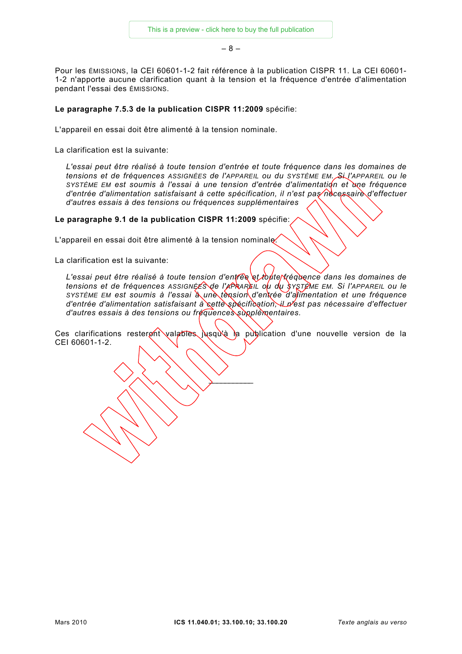– 8 –

Pour les ÉMISSIONS, la CEI 60601-1-2 fait référence à la publication CISPR 11. La CEI 60601- 1-2 n'apporte aucune clarification quant à la tension et la fréquence d'entrée d'alimentation pendant l'essai des ÉMISSIONS.

#### **Le paragraphe 7.5.3 de la publication CISPR 11:2009** spécifie:

L'appareil en essai doit être alimenté à la tension nominale.

La clarification est la suivante:

*L'essai peut être réalisé à toute tension d'entrée et toute fréquence dans les domaines de tensions et de fréquences ASSIGNÉES de l'APPAREIL ou du SYSTÈME EM. Si l'APPAREIL ou le*  SYSTÈME EM est soumis à l'essai à une tension d'entrée d'alimentation et une fréquence *d'entrée d'alimentation satisfaisant à cette spécification, il n'est pas nécessaire d'effectuer d'autres essais à des tensions ou fréquences supplémentaires*

**Le paragraphe 9.1 de la publication CISPR 11:2009** spécifie:

L'appareil en essai doit être alimenté à la tension nominale?

La clarification est la suivante:

*L'essai peut être réalisé à toute tension d'entrée et toute fréquence dans les domaines de tensions et de fréquences ASSIGNÉES de l'APPAREIL ou du SYSTÈME EM. Si l'APPAREIL ou le SYSTÈME EM est soumis à l'essai à une tension d'entrée d'alimentation et une fréquence d'entrée d'alimentation satisfaisant à cette spécification, il n'est pas nécessaire d'effectuer d'autres essais à des tensions ou fréquences supplémentaires.*

Ces clarifications resteront valables jusqu'à la publication d'une nouvelle version de la CEI 60601-1-2.

 $\sum_{i=1}^n a_i$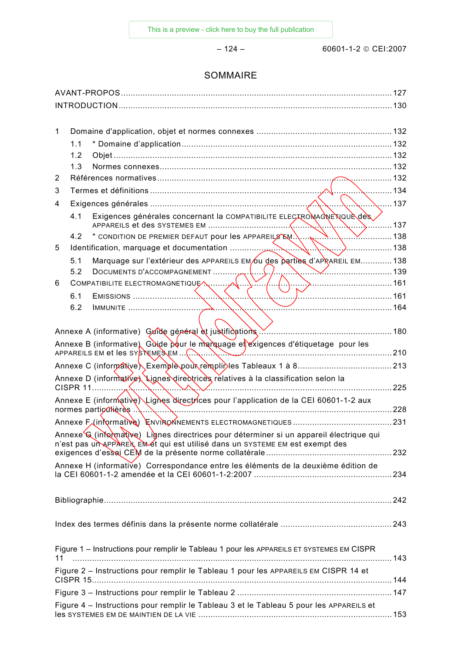– 124 – 60601-1-2 © CEI:2007

# SOMMAIRE

| 1  |     |                                                                                                                                   |            |
|----|-----|-----------------------------------------------------------------------------------------------------------------------------------|------------|
|    | 1.1 |                                                                                                                                   |            |
|    | 1.2 |                                                                                                                                   |            |
|    | 1.3 |                                                                                                                                   |            |
| 2  |     |                                                                                                                                   |            |
| 3  |     |                                                                                                                                   |            |
| 4  |     |                                                                                                                                   | $\sum$ 137 |
|    | 4.1 | Exigences générales concernant la COMPATIBILITE ELECTROMAGNE NOUL des<br>$, \dots, \dots, 137$                                    |            |
|    | 4.2 |                                                                                                                                   |            |
| 5  |     | 138                                                                                                                               |            |
|    | 5.1 | Marquage sur l'extérieur des APPAREILS EM 6u des parties d'APRAREIL EM138                                                         |            |
|    | 5.2 |                                                                                                                                   |            |
| 6  |     | COMPATIBILITE ELECTROMAGNETIQUE<br>$\land \quad \rightarrow$ 161                                                                  |            |
|    | 6.1 |                                                                                                                                   |            |
|    | 6.2 |                                                                                                                                   |            |
|    |     |                                                                                                                                   |            |
|    |     | Annexe A (informative) Guide général et justifications Manumerran Manumerran 180                                                  |            |
|    |     | Annexe B (informative), Guide pour le marquage et exigences d'étiquetage pour les<br>APPAREILS EM et les SYSTEMESEM<br>$\sim$ 210 |            |
|    |     |                                                                                                                                   |            |
|    |     | Annexe D (informative) Lignes directrices relatives à la classification selon la<br>CISPR 11                                      |            |
|    |     | Annexe E (informative) Lignes directrices pour l'application de la CEI 60601-1-2 aux<br>normes particulières.                     |            |
|    |     |                                                                                                                                   |            |
|    |     | Annexe G (infomative) Lignes directrices pour déterminer si un appareil électrique qui                                            |            |
|    |     | n'est pas un appranent en et qui est utilisé dans un SYSTEME EM est exempt des                                                    |            |
|    |     | Annexe H (informative) Correspondance entre les éléments de la deuxième édition de                                                |            |
|    |     |                                                                                                                                   |            |
|    |     |                                                                                                                                   |            |
|    |     |                                                                                                                                   |            |
|    |     |                                                                                                                                   |            |
|    |     | Figure 1 - Instructions pour remplir le Tableau 1 pour les APPAREILS ET SYSTEMES EM CISPR                                         |            |
| 11 |     |                                                                                                                                   |            |
|    |     | Figure 2 - Instructions pour remplir le Tableau 1 pour les APPAREILS EM CISPR 14 et                                               |            |
|    |     |                                                                                                                                   |            |
|    |     | Figure 4 - Instructions pour remplir le Tableau 3 et le Tableau 5 pour les APPAREILS et                                           |            |
|    |     |                                                                                                                                   |            |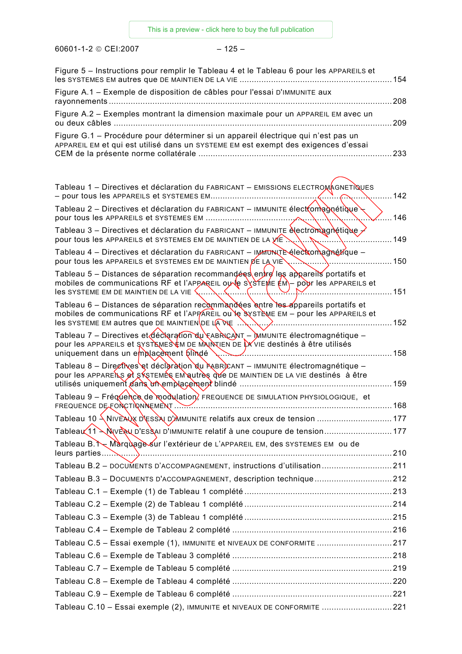60601-1-2 © CEI:2007 – 125 –

| Figure 5 - Instructions pour remplir le Tableau 4 et le Tableau 6 pour les APPAREILS et                                                                                                                                                                        | 154   |
|----------------------------------------------------------------------------------------------------------------------------------------------------------------------------------------------------------------------------------------------------------------|-------|
| Figure A.1 - Exemple de disposition de câbles pour l'essai D'IMMUNITE aux                                                                                                                                                                                      | 208   |
| Figure A.2 - Exemples montrant la dimension maximale pour un APPAREIL EM avec un<br>ou deux câbles                                                                                                                                                             | 209   |
| Figure G.1 - Procédure pour déterminer si un appareil électrique qui n'est pas un<br>APPAREIL EM et qui est utilisé dans un SYSTEME EM est exempt des exigences d'essai                                                                                        | 233   |
| Tableau 1 – Directives et déclaration du FABRICANT – EMISSIONS ELECTROMAGNETIQUES                                                                                                                                                                              |       |
| Tableau 2 – Directives et déclaration du FABRICANT – IMMUNITE élect (om ad nétique –                                                                                                                                                                           | 142   |
| Tableau 3 – Directives et déclaration du FABRICANT – IMMUNITE electromagnétique                                                                                                                                                                                | .146  |
| pour tous les APPAREILS et SYSTEMES EM DE MAINTIEN DE LA VIE<br>Tableau 4 – Directives et déclaration du FABRICANT – IMMUNITE élection agnétique –                                                                                                             | 149   |
| pour tous les APPAREILS et SYSTEMES EM DE MAINTIEN DE LA VIE                                                                                                                                                                                                   | 150   |
| Tableau 5 – Distances de séparation recommandées entre les appareils portatifs et<br>mobiles de communications RF et l'APPAREIL ou le SYSTEME EM – pour les APPAREILS et<br>$\overline{\text{ } }$ les SYSTEME EM DE MAINTIEN DE LA VIE $\overline{\text{ } }$ | . 151 |
| Tableau 6 – Distances de séparation recommandées entre les appareils portatifs et<br>mobiles de communications RF et l'APPAREIL ou le SYSTEME EM - pour les APPAREILS et<br>$\overline{1}$ les SYSTEME EM autres que DE MAINTIEN DE LA WE                      |       |
| Tableau 7 – Directives et déclaration du FABRICANT – DMMUNITE électromagnétique –<br>pour les APPAREILS et SYSTEMES EN DE MAINTIEN DE LA VIE destinés à être utilisés<br>uniquement dans un emplacement plindé                                                 | 158   |
| Tableau 8 - Directives et déclaration du FABRICANT - IMMUNITE électromagnétique -<br>pour les APPAREILS et SKSTEMES EM autres que DE MAINTIEN DE LA VIE destinés à être                                                                                        | .159  |
| Tableau 9 - Fréquence de modulation, FREQUENCE DE SIMULATION PHYSIOLOGIQUE, et                                                                                                                                                                                 | 168   |
| Tableau 10 \NIVEAUX D'ESSAI D'AMMUNITE relatifs aux creux de tension  177                                                                                                                                                                                      |       |
| Tableau (11 \ NVE NU D'ESSAI D'IMMUNITE relatif à une coupure de tension 177                                                                                                                                                                                   |       |
| Tableau B. Narquage sur l'extérieur de L'APPAREIL EM, des SYSTEMES EM ou de                                                                                                                                                                                    |       |
| Tableau B.2 - DOCUMENTS D'ACCOMPAGNEMENT, instructions d'utilisation 211                                                                                                                                                                                       |       |
| Tableau B.3 - DOCUMENTS D'ACCOMPAGNEMENT, description technique212                                                                                                                                                                                             |       |
|                                                                                                                                                                                                                                                                |       |
|                                                                                                                                                                                                                                                                |       |
|                                                                                                                                                                                                                                                                |       |
|                                                                                                                                                                                                                                                                |       |
| Tableau C.5 - Essai exemple (1), IMMUNITE et NIVEAUX DE CONFORMITE 217                                                                                                                                                                                         |       |
|                                                                                                                                                                                                                                                                |       |
|                                                                                                                                                                                                                                                                |       |
|                                                                                                                                                                                                                                                                |       |
|                                                                                                                                                                                                                                                                |       |
| Tableau C.10 - Essai exemple (2), IMMUNITE et NIVEAUX DE CONFORMITE 221                                                                                                                                                                                        |       |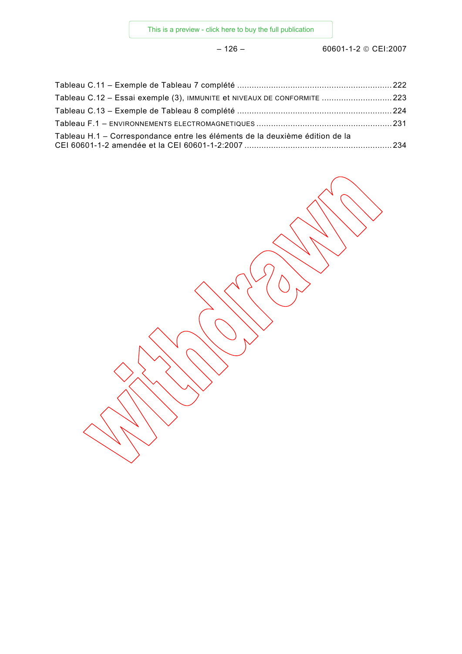| Tableau C.12 - Essai exemple (3), IMMUNITE et NIVEAUX DE CONFORMITE 223      |  |
|------------------------------------------------------------------------------|--|
|                                                                              |  |
|                                                                              |  |
| Tableau H.1 – Correspondance entre les éléments de la deuxième édition de la |  |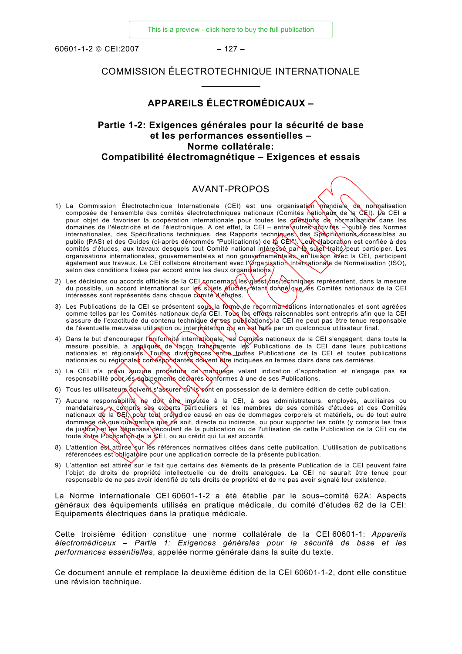<span id="page-22-0"></span>60601-1-2 © CEI:2007 – 127 –

# COMMISSION ÉLECTROTECHNIQUE INTERNATIONALE  $\frac{1}{2}$  ,  $\frac{1}{2}$  ,  $\frac{1}{2}$  ,  $\frac{1}{2}$  ,  $\frac{1}{2}$  ,  $\frac{1}{2}$  ,  $\frac{1}{2}$

#### **APPAREILS ÉLECTROMÉDICAUX –**

# **Partie 1-2: Exigences générales pour la sécurité de base et les performances essentielles – Norme collatérale: Compatibilité électromagnétique – Exigences et essais**

## AVANT-PROPOS

- 1) La Commission Électrotechnique Internationale (CEI) est une organisation mondiale de nomalisation composée de l'ensemble des comités électrotechniques nationaux (Comités nationaux de la CEI). La CEI a pour objet de favoriser la coopération internationale pour toutes les questions de normalisation dans les domaines de l'électricité et de l'électronique. A cet effet, la CEI – entre autres adtivités – publie des Normes internationales, des Spécifications techniques, des Rapports techniques, des Spécifications accessibles au public (PAS) et des Guides (ci-après dénommés "Publication(s) de la CEI"). Leur élaboration est confiée à des comités d'études, aux travaux desquels tout Comité national intéressé par là sujet traité peut participer. Les organisations internationales, gouvernementales et non gouvernementales, en liaison avec la CEI, participent également aux travaux. La CEI collabore étroitement avec l'Organisation Internationale de Normalisation (ISO), selon des conditions fixées par accord entre les deux organisations.
- 2) Les décisions ou accords officiels de la CEI concernant les questions techniques représentent, dans la mesure du possible, un accord international sur les sujets étudiés étant donné que les Comités nationaux de la CEI intéressés sont représentés dans chaque comité d'études.
- 3) Les Publications de la CEI se présentent sous la forme de recommandations internationales et sont agréées comme telles par les Comités nationaux de la CEI. Tous les efforts raisonnables sont entrepris afin que la CEI s'assure de l'exactitude du contenu technique de ses publications) la CEI ne peut pas être tenue responsable de l'éventuelle mauvaise utilisation ou interprétation qui en est faite par un quelconque utilisateur final.
- 4) Dans le but d'encourager l'uniformité internationale, les Comités nationaux de la CEI s'engagent, dans toute la mesure possible, à appliquer de façon transparente les Publications de la CEI dans leurs publications nationales et régionales. Toutes divergences entre toutes Publications de la CEI et toutes publications nationales ou régionales corréspondantes doivent être indiquées en termes clairs dans ces dernières.
- 5) La CEI n'a prévu aucune procédure de marquage valant indication d'approbation et n'engage pas sa responsabilité pour les équipements déclarés conformes à une de ses Publications.
- 6) Tous les utilisateurs doivents assurer qu'ils sont en possession de la dernière édition de cette publication.
- 7) Aucune responsabilité ne doit être imputée à la CEI, à ses administrateurs, employés, auxiliaires ou mandataires, y compris ses experts particuliers et les membres de ses comités d'études et des Comités nationaux de la CEI, pour tout préjudice causé en cas de dommages corporels et matériels, ou de tout autre dommage de quelque nature que ce soit, directe ou indirecte, ou pour supporter les coûts (y compris les frais de justice) et les dépenses découlant de la publication ou de l'utilisation de cette Publication de la CEI ou de toute autre Publication de la CEI, ou au crédit qui lui est accordé.
- 8) L'attention est attirée sur les références normatives citées dans cette publication. L'utilisation de publications référencées est obligatoire pour une application correcte de la présente publication.
- 9) L'attention est attirée sur le fait que certains des éléments de la présente Publication de la CEI peuvent faire l'objet de droits de propriété intellectuelle ou de droits analogues. La CEI ne saurait être tenue pour responsable de ne pas avoir identifié de tels droits de propriété et de ne pas avoir signalé leur existence.

La Norme internationale CEI 60601-1-2 a été établie par le sous–comité 62A: Aspects généraux des équipements utilisés en pratique médicale, du comité d'études 62 de la CEI: Equipements électriques dans la pratique médicale.

Cette troisième édition constitue une norme collatérale de la CEI 60601-1: *Appareils électromédicaux – Partie 1: Exigences générales pour la sécurité de base et les performances essentielles*, appelée norme générale dans la suite du texte.

Ce document annule et remplace la deuxième édition de la CEI 60601-1-2, dont elle constitue une révision technique.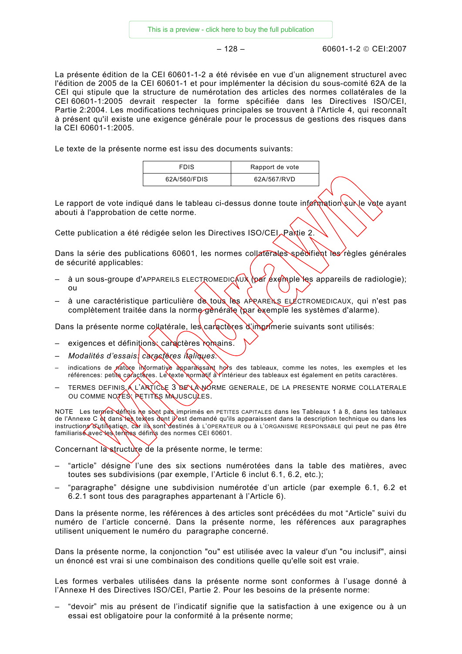$-128 - 60601 - 1 - 2 \odot CF12007$ 

La présente édition de la CEI 60601-1-2 a été révisée en vue d'un alignement structurel avec l'édition de 2005 de la CEI 60601-1 et pour implémenter la décision du sous-comité 62A de la CEI qui stipule que la structure de numérotation des articles des normes collatérales de la CEI 60601-1:2005 devrait respecter la forme spécifiée dans les Directives ISO/CEI, Partie 2:2004. Les modifications techniques principales se trouvent à l'Article 4, qui reconnaît à présent qu'il existe une exigence générale pour le processus de gestions des risques dans la CEI 60601-1:2005.

Le texte de la présente norme est issu des documents suivants:

| FDIS         | Rapport de vote |  |
|--------------|-----------------|--|
| 62A/560/FDIS | 62A/567/RVD     |  |

Le rapport de vote indiqué dans le tableau ci-dessus donne toute information sur le vote ayant abouti à l'approbation de cette norme.

Cette publication a été rédigée selon les Directives ISO/CEI<sub>A</sub>Partie 2.

Dans la série des publications 60601, les normes collatérales spécifient les règles générales de sécurité applicables:

- $\alpha$  un sous-groupe d'APPAREILS ELECTROMEDICAUX (par exemple les appareils de radiologie); ou
- à une caractéristique particulière de tous les APPAREILS ELECTROMEDICAUX, qui n'est pas complètement traitée dans la norme gènérale (par exemple les systèmes d'alarme).

Dans la présente norme collatérale, les caractères d'imprimerie suivants sont utilisés:

- exigences et définitions; caractères romains.
- *Modalités d'essais: caractères italiques.*
- indications de nature informative apparaissant hors des tableaux, comme les notes, les exemples et les références: petits caractères. Le texte normatif à l'intérieur des tableaux est également en petits caractères.
- TERMES DEFINIS A L'ARTICLE 3 DE LA NORME GENERALE, DE LA PRESENTE NORME COLLATERALE OU COMME NOTES; PETITES MAJUSCULES.

NOTE Les termes définis ne sont pas imprimés en PETITES CAPITALES dans les Tableaux 1 à 8, dans les tableaux de l'Annexe C et dans les textes dont il est demandé qu'ils apparaissent dans la description technique ou dans les instructions d'utilisation, car ils sont destinés à L'OPERATEUR ou à L'ORGANISME RESPONSABLE qui peut ne pas être familiarisé avec les termes définis des normes CEI 60601.

Concernant la structure de la présente norme, le terme:

- "article" désigne l'une des six sections numérotées dans la table des matières, avec toutes ses subdivisions (par exemple, l'Article 6 inclut 6.1, 6.2, etc.);
- "paragraphe" désigne une subdivision numérotée d'un article (par exemple 6.1, 6.2 et 6.2.1 sont tous des paragraphes appartenant à l'Article 6).

Dans la présente norme, les références à des articles sont précédées du mot "Article" suivi du numéro de l'article concerné. Dans la présente norme, les références aux paragraphes utilisent uniquement le numéro du paragraphe concerné.

Dans la présente norme, la conjonction "ou" est utilisée avec la valeur d'un "ou inclusif", ainsi un énoncé est vrai si une combinaison des conditions quelle qu'elle soit est vraie.

Les formes verbales utilisées dans la présente norme sont conformes à l'usage donné à l'Annexe H des Directives ISO/CEI, Partie 2. Pour les besoins de la présente norme:

– "devoir" mis au présent de l'indicatif signifie que la satisfaction à une exigence ou à un essai est obligatoire pour la conformité à la présente norme;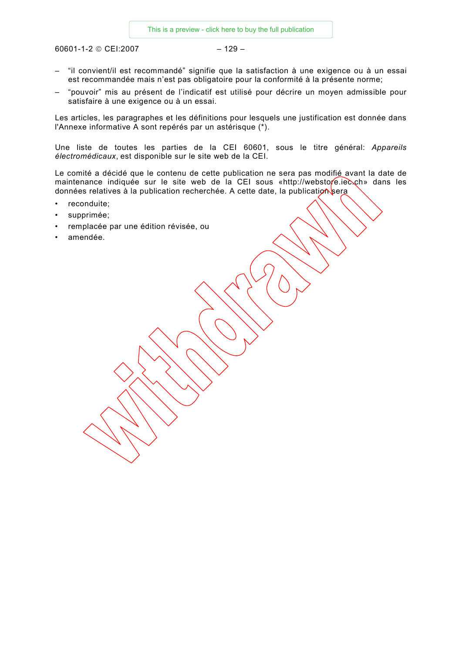$60601 - 1 - 2 \odot CE1:2007$  – 129 –

- "il convient/il est recommandé" signifie que la satisfaction à une exigence ou à un essai est recommandée mais n'est pas obligatoire pour la conformité à la présente norme;
- "pouvoir" mis au présent de l'indicatif est utilisé pour décrire un moyen admissible pour satisfaire à une exigence ou à un essai.

Les articles, les paragraphes et les définitions pour lesquels une justification est donnée dans l'Annexe informative A sont repérés par un astérisque (\*).

Une liste de toutes les parties de la CEI 60601, sous le titre général: *Appareils électromédicaux*, est disponible sur le site web de la CEI.

Le comité a décidé que le contenu de cette publication ne sera pas modifié avant la date de maintenance indiquée sur le site web de la CEI sous «http://webstore.iec.ch» dans les données relatives à la publication recherchée. A cette date, la publication sera

- reconduite;
- supprimée;
- remplacée par une édition révisée, ou
- amendée.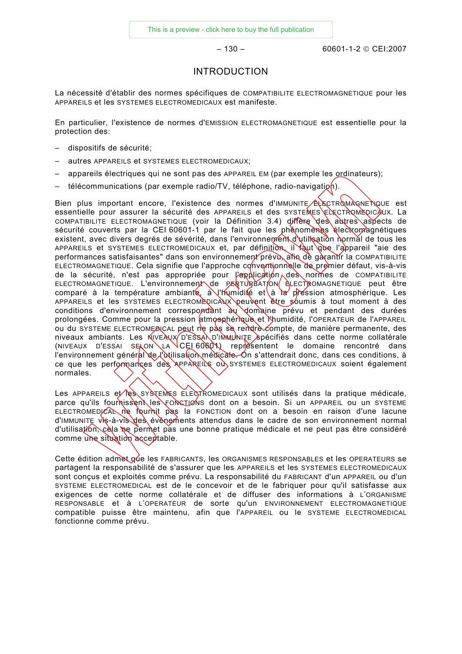– 130 – 60601-1-2 © CEI:2007

## INTRODUCTION

<span id="page-25-0"></span>La nécessité d'établir des normes spécifiques de COMPATIBILITE ELECTROMAGNETIQUE pour les APPAREILS et les SYSTEMES ELECTROMEDICAUX est manifeste.

En particulier, l'existence de normes d'EMISSION ELECTROMAGNETIQUE est essentielle pour la protection des:

- dispositifs de sécurité;
- autres APPAREILS et SYSTEMES ELECTROMEDICAUX;
- appareils électriques qui ne sont pas des APPAREIL EM (par exemple les ordinateurs);
- $-$  télécommunications (par exemple radio/TV, téléphone, radio-navigation).

Bien plus important encore, l'existence des normes d'IMMUNITE ELECTROMAGNETIQUE est essentielle pour assurer la sécurité des APPAREILS et des SYSTEMES ELECTROMEDICAUX. La COMPATIBILITE ELECTROMAGNETIQUE (voir la Définition 3.4) diffère des autres aspects de sécurité couverts par la CEI 60601-1 par le fait que les phénomènes électromagnétiques existent, avec divers degrés de sévérité, dans l'environnement d'utilisation normal de tous les APPAREILS et SYSTEMES ELECTROMEDICAUX et, par définition, il faut que l'appareil "aie des performances satisfaisantes" dans son environnement prévu, afin de garantir la COMPATIBILITE ELECTROMAGNETIQUE. Cela signifie que l'approche conventionnelle de premier défaut, vis-à-vis de la sécurité, n'est pas appropriée pour l'application des normes de COMPATIBILITE ELECTROMAGNETIQUE. L'environnement de PERTURBAT/ON ELECTROMAGNETIQUE peut être comparé à la température ambiante,  $\frac{\partial \psi}{\partial t}$  l'humidité et à la préssion atmosphérique. Les APPAREILS et les SYSTEMES ELECTROMEQICAUX peuvent être soumis à tout moment à des conditions d'environnement correspondant au domaine prévu et pendant des durées prolongées. Comme pour la pression atmosphérique et l'humidité, l'OPERATEUR de l'APPAREIL ou du SYSTEME ELECTROMEDICAL peut ne pas se rendre compte, de manière permanente, des niveaux ambiants. Les NIVEAUX D'ESSAN D'IMMUNITE Spécifiés dans cette norme collatérale (NIVEAUX D'ESSAI SELON LA CEI 60601) représentent le domaine rencontré dans l'environnement général de l'utilisation médicale. On s'attendrait donc, dans ces conditions, à ce que les performances des APPAREILS ou SYSTEMES ELECTROMEDICAUX soient également normales.

Les APPAREILS et les systemes ELECTROMEDICAUX sont utilisés dans la pratique médicale, parce qu'ils fournissent les FONCTIONS dont on a besoin. Si un APPAREIL ou un SYSTEME ELECTROMEDICAL ne fournit pas la FONCTION dont on a besoin en raison d'une lacune d'IMMUNITE vis-à-vis des événements attendus dans le cadre de son environnement normal d'utilisation, cela ne permet pas une bonne pratique médicale et ne peut pas être considéré comme une situation acceptable.

Cette édition admet que les FABRICANTS, les ORGANISMES RESPONSABLES et les OPERATEURS se partagent la responsabilité de s'assurer que les APPAREILS et les SYSTEMES ELECTROMEDICAUX sont conçus et exploités comme prévu. La responsabilité du FABRICANT d'un APPAREIL ou d'un SYSTEME ELECTROMEDICAL est de le concevoir et de le fabriquer pour qu'il satisfasse aux exigences de cette norme collatérale et de diffuser des informations à L'ORGANISME RESPONSABLE et à L'OPERATEUR de sorte qu'un ENVIRONNEMENT ELECTROMAGNETIQUE compatible puisse être maintenu, afin que l'APPAREIL ou le SYSTEME ELECTROMEDICAL fonctionne comme prévu.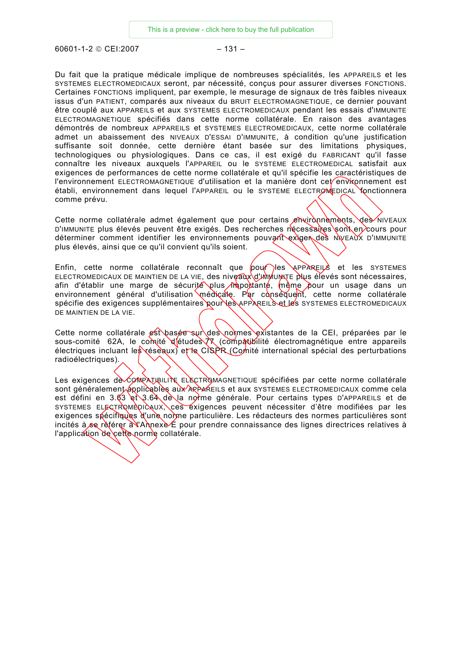60601-1-2 © CEI:2007 – 131 –

Du fait que la pratique médicale implique de nombreuses spécialités, les APPAREILS et les SYSTEMES ELECTROMEDICAUX seront, par nécessité, conçus pour assurer diverses FONCTIONS. Certaines FONCTIONS impliquent, par exemple, le mesurage de signaux de très faibles niveaux issus d'un PATIENT, comparés aux niveaux du BRUIT ELECTROMAGNETIQUE, ce dernier pouvant être couplé aux APPAREILS et aux SYSTEMES ELECTROMEDICAUX pendant les essais d'IMMUNITE ELECTROMAGNETIQUE spécifiés dans cette norme collatérale. En raison des avantages démontrés de nombreux APPAREILS et SYSTEMES ELECTROMEDICAUX, cette norme collatérale admet un abaissement des NIVEAUX D'ESSAI D'IMMUNITE, à condition qu'une justification suffisante soit donnée, cette dernière étant basée sur des limitations physiques, technologiques ou physiologiques. Dans ce cas, il est exigé du FABRICANT qu'il fasse connaître les niveaux auxquels l'APPAREIL ou le SYSTEME ELECTROMEDICAL satisfait aux exigences de performances de cette norme collatérale et qu'il spécifie les caractéristiques de l'environnement ELECTROMAGNETIQUE d'utilisation et la manière dont cet environnement est établi, environnement dans lequel l'APPAREIL ou le SYSTEME ELECTROMEDICAL fonctionnera comme prévu.

Cette norme collatérale admet également que pour certains environnements, des niveaux D'IMMUNITE plus élevés peuvent être exigés. Des recherches nécessaires sont en cours pour déterminer comment identifier les environnements pouvant exiger des NIVEAUX D'IMMUNITE plus élevés, ainsi que ce qu'il convient qu'ils soient.

Enfin, cette norme collatérale reconnaît que  $\frac{1}{2}$  pour les APPAREILS et les SYSTEMES ELECTROMEDICAUX DE MAINTIEN DE LA VIE, des niveaux d'IMMUNITE plus élevés sont nécessaires, afin d'établir une marge de sécurité plus importante, même pour un usage dans un environnement général d'utilisation médicale. Par conséquent, cette norme collatérale spécifie des exigences supplémentaires pour les APPAREILS et les SYSTEMES ELECTROMEDICAUX DE MAINTIEN DE LA VIE.

Cette norme collatérale est basée sur des normes existantes de la CEI, préparées par le sous-comité 62A, le comité d'études  $\sqrt{x}$  (compatibilité électromagnétique entre appareils électriques incluant les réseaux) et le CISPR (Comité international spécial des perturbations radioélectriques).

Les exigences de CoMPATIBILITE ELECTROMAGNETIQUE spécifiées par cette norme collatérale sont généralement ápplicables aux ARPAREILS et aux SYSTEMES ELECTROMEDICAUX comme cela est défini en 3.63 et 3.64 de la norme générale. Pour certains types D'APPAREILS et de SYSTEMES ELECTROMEDICAUX, ces éxigences peuvent nécessiter d'être modifiées par les exigences spécifiques d'une norme particulière. Les rédacteurs des normes particulières sont incités à se référer  $\frac{\partial u}{\partial x}$  Annexe  $\epsilon$  pour prendre connaissance des lignes directrices relatives à l'application de cette norme collatérale.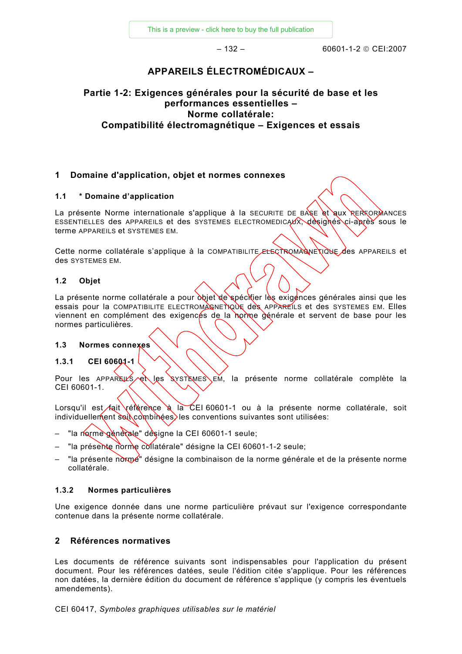[This is a preview - click here to buy the full publication](https://webstore.iec.ch/publication/16786&preview=1)

 $-132 - 60601 - 1 - 2 \odot CF12007$ 

# **APPAREILS ÉLECTROMÉDICAUX –**

# <span id="page-27-0"></span>**Partie 1-2: Exigences générales pour la sécurité de base et les performances essentielles – Norme collatérale: Compatibilité électromagnétique – Exigences et essais**

## **1 Domaine d'application, objet et normes connexes**

#### **1.1 \* Domaine d'application**

La présente Norme internationale s'applique à la SECURITE DE BASE et aux RERFORMANCES ESSENTIELLES des APPAREILS et des SYSTEMES ELECTROMEDICAUX, désignés ci-après sous le terme APPAREILS et SYSTEMES EM.

Cette norme collatérale s'applique à la COMPATIBILITE ELECTROMAGNETIQUE des APPAREILS et des SYSTEMES EM.

#### **1.2 Objet**

La présente norme collatérale a pour objet de spécitier les exigences générales ainsi que les essais pour la COMPATIBILITE ELECTROMAGNETIQUE des APPAREILS et des SYSTEMES EM. Elles viennent en complément des exigencés de la norme générale et servent de base pour les normes particulières.

#### **1.3 Normes connexes**

## **1.3.1 CEI 60601-1**

Pour les APPAREILS et les SYSTEMES EM, la présente norme collatérale complète la CEI 60601-1.

Lorsqu'il est fait référence à la CEI 60601-1 ou à la présente norme collatérale, soit individuellement soit combinées, les conventions suivantes sont utilisées:

- "la norme générale" désigne la CEI 60601-1 seule;
- "la présente norme collatérale" désigne la CEI 60601-1-2 seule;
- "la présente norme" désigne la combinaison de la norme générale et de la présente norme collatérale.

#### **1.3.2 Normes particulières**

Une exigence donnée dans une norme particulière prévaut sur l'exigence correspondante contenue dans la présente norme collatérale.

## **2 Références normatives**

Les documents de référence suivants sont indispensables pour l'application du présent document. Pour les références datées, seule l'édition citée s'applique. Pour les références non datées, la dernière édition du document de référence s'applique (y compris les éventuels amendements).

CEI 60417, *Symboles graphiques utilisables sur le matériel*